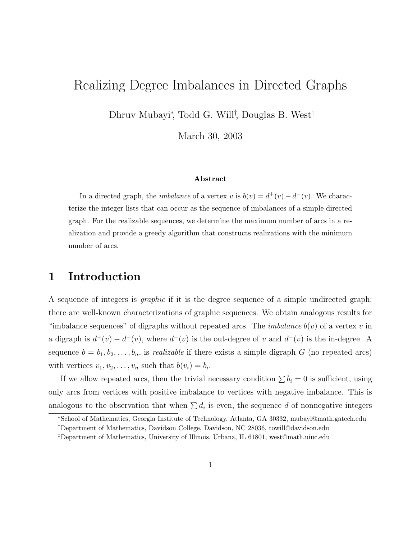# Realizing Degree Imbalances in Directed Graphs

Dhruv Mubayi<sup>∗</sup> , Todd G. Will† , Douglas B. West‡

March 30, 2003

#### Abstract

In a directed graph, the *imbalance* of a vertex v is  $b(v) = d^+(v) - d^-(v)$ . We characterize the integer lists that can occur as the sequence of imbalances of a simple directed graph. For the realizable sequences, we determine the maximum number of arcs in a realization and provide a greedy algorithm that constructs realizations with the minimum number of arcs.

### 1 Introduction

A sequence of integers is graphic if it is the degree sequence of a simple undirected graph; there are well-known characterizations of graphic sequences. We obtain analogous results for "imbalance sequences" of digraphs without repeated arcs. The *imbalance*  $b(v)$  of a vertex v in a digraph is  $d^+(v) - d^-(v)$ , where  $d^+(v)$  is the out-degree of v and  $d^-(v)$  is the in-degree. A sequence  $b = b_1, b_2, \ldots, b_n$ , is *realizable* if there exists a simple digraph G (no repeated arcs) with vertices  $v_1, v_2, \ldots, v_n$  such that  $b(v_i) = b_i$ .

If we allow repeated arcs, then the trivial necessary condition  $\sum b_i = 0$  is sufficient, using only arcs from vertices with positive imbalance to vertices with negative imbalance. This is analogous to the observation that when  $\sum d_i$  is even, the sequence d of nonnegative integers

<sup>∗</sup>School of Mathematics, Georgia Institute of Technology, Atlanta, GA 30332, mubayi@math.gatech.edu

<sup>†</sup>Department of Mathematics, Davidson College, Davidson, NC 28036, towill@davidson.edu

<sup>‡</sup>Department of Mathematics, University of Illinois, Urbana, IL 61801, west@math.uiuc.edu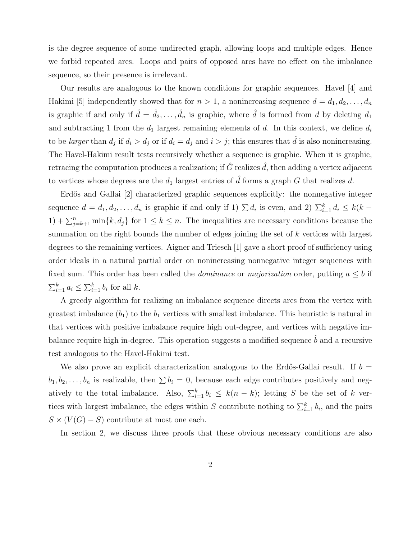is the degree sequence of some undirected graph, allowing loops and multiple edges. Hence we forbid repeated arcs. Loops and pairs of opposed arcs have no effect on the imbalance sequence, so their presence is irrelevant.

Our results are analogous to the known conditions for graphic sequences. Havel [4] and Hakimi [5] independently showed that for  $n > 1$ , a nonincreasing sequence  $d = d_1, d_2, \ldots, d_n$ is graphic if and only if  $\hat{d} = \hat{d}_2, \ldots, \hat{d}_n$  is graphic, where  $\hat{d}$  is formed from d by deleting  $d_1$ and subtracting 1 from the  $d_1$  largest remaining elements of d. In this context, we define  $d_i$ to be *larger* than  $d_j$  if  $d_i > d_j$  or if  $d_i = d_j$  and  $i > j$ ; this ensures that  $\hat{d}$  is also nonincreasing. The Havel-Hakimi result tests recursively whether a sequence is graphic. When it is graphic, retracing the computation produces a realization; if  $\hat{G}$  realizes  $\hat{d}$ , then adding a vertex adjacent to vertices whose degrees are the  $d_1$  largest entries of  $\hat{d}$  forms a graph G that realizes d.

Erdős and Gallai [2] characterized graphic sequences explicitly: the nonnegative integer sequence  $d = d_1, d_2, \ldots, d_n$  is graphic if and only if 1)  $\sum d_i$  is even, and 2)  $\sum_{i=1}^k d_i \leq k(k-1)$  $1) + \sum_{j=k+1}^{n} \min\{k, d_j\}$  for  $1 \leq k \leq n$ . The inequalities are necessary conditions because the summation on the right bounds the number of edges joining the set of k vertices with largest degrees to the remaining vertices. Aigner and Triesch [1] gave a short proof of sufficiency using order ideals in a natural partial order on nonincreasing nonnegative integer sequences with fixed sum. This order has been called the *dominance* or *majorization* order, putting  $a \leq b$  if  $\sum_{i=1}^k a_i \leq \sum_{i=1}^k b_i$  for all k.

A greedy algorithm for realizing an imbalance sequence directs arcs from the vertex with greatest imbalance  $(b_1)$  to the  $b_1$  vertices with smallest imbalance. This heuristic is natural in that vertices with positive imbalance require high out-degree, and vertices with negative imbalance require high in-degree. This operation suggests a modified sequence  $b$  and a recursive test analogous to the Havel-Hakimi test.

We also prove an explicit characterization analogous to the Erdős-Gallai result. If  $b =$  $b_1, b_2, \ldots, b_n$  is realizable, then  $\sum b_i = 0$ , because each edge contributes positively and negatively to the total imbalance. Also,  $\sum_{i=1}^{k} b_i \leq k(n-k)$ ; letting S be the set of k vertices with largest imbalance, the edges within S contribute nothing to  $\sum_{i=1}^{k} b_i$ , and the pairs  $S \times (V(G) - S)$  contribute at most one each.

In section 2, we discuss three proofs that these obvious necessary conditions are also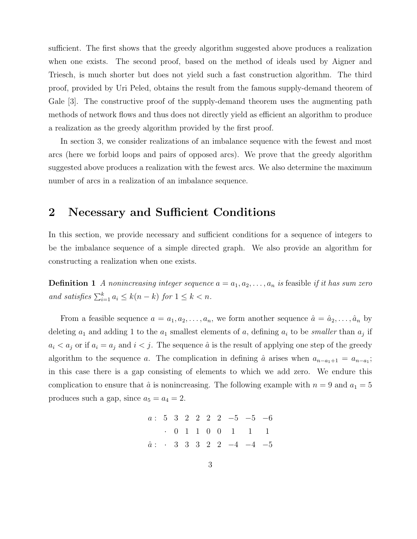sufficient. The first shows that the greedy algorithm suggested above produces a realization when one exists. The second proof, based on the method of ideals used by Aigner and Triesch, is much shorter but does not yield such a fast construction algorithm. The third proof, provided by Uri Peled, obtains the result from the famous supply-demand theorem of Gale [3]. The constructive proof of the supply-demand theorem uses the augmenting path methods of network flows and thus does not directly yield as efficient an algorithm to produce a realization as the greedy algorithm provided by the first proof.

In section 3, we consider realizations of an imbalance sequence with the fewest and most arcs (here we forbid loops and pairs of opposed arcs). We prove that the greedy algorithm suggested above produces a realization with the fewest arcs. We also determine the maximum number of arcs in a realization of an imbalance sequence.

## 2 Necessary and Sufficient Conditions

In this section, we provide necessary and sufficient conditions for a sequence of integers to be the imbalance sequence of a simple directed graph. We also provide an algorithm for constructing a realization when one exists.

**Definition 1** A nonincreasing integer sequence  $a = a_1, a_2, \ldots, a_n$  is feasible if it has sum zero and satisfies  $\sum_{i=1}^{k} a_i \leq k(n-k)$  for  $1 \leq k < n$ .

From a feasible sequence  $a = a_1, a_2, \ldots, a_n$ , we form another sequence  $\hat{a} = \hat{a}_2, \ldots, \hat{a}_n$  by deleting  $a_1$  and adding 1 to the  $a_1$  smallest elements of a, defining  $a_i$  to be *smaller* than  $a_j$  if  $a_i < a_j$  or if  $a_i = a_j$  and  $i < j$ . The sequence  $\hat{a}$  is the result of applying one step of the greedy algorithm to the sequence a. The complication in defining  $\hat{a}$  arises when  $a_{n-a_1+1} = a_{n-a_1}$ ; in this case there is a gap consisting of elements to which we add zero. We endure this complication to ensure that  $\hat{a}$  is nonincreasing. The following example with  $n = 9$  and  $a_1 = 5$ produces such a gap, since  $a_5 = a_4 = 2$ .

$$
a: \begin{array}{ccccccccc}\n3 & 3 & 2 & 2 & 2 & 2 & -5 & -5 & -6 \\
\hline\n& & 0 & 1 & 1 & 0 & 0 & 1 & 1 & 1 \\
\hat{a}: & \hat{a} & 3 & 3 & 3 & 2 & 2 & -4 & -4 & -5\n\end{array}
$$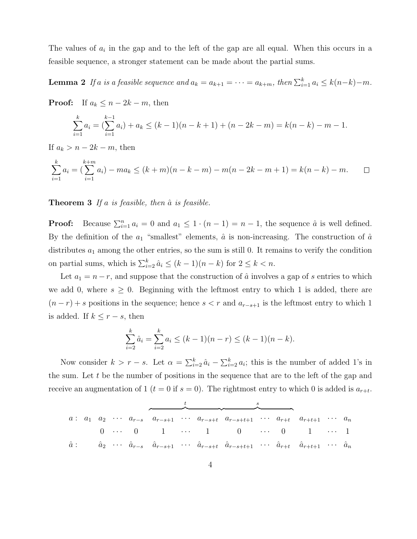The values of  $a_i$  in the gap and to the left of the gap are all equal. When this occurs in a feasible sequence, a stronger statement can be made about the partial sums.

**Lemma 2** If a is a feasible sequence and  $a_k = a_{k+1} = \cdots = a_{k+m}$ , then  $\sum_{i=1}^{k} a_i \leq k(n-k)-m$ .

**Proof:** If  $a_k \leq n-2k-m$ , then

$$
\sum_{i=1}^{k} a_i = \left(\sum_{i=1}^{k-1} a_i\right) + a_k \le (k-1)(n-k+1) + (n-2k-m) = k(n-k) - m - 1.
$$

If  $a_k > n - 2k - m$ , then

$$
\sum_{i=1}^{k} a_i = \left(\sum_{i=1}^{k+m} a_i\right) - ma_k \le (k+m)(n-k-m) - m(n-2k-m+1) = k(n-k) - m.
$$

**Theorem 3** If a is feasible, then  $\hat{a}$  is feasible.

**Proof:** Because  $\sum_{i=1}^{n} a_i = 0$  and  $a_1 \leq 1 \cdot (n-1) = n-1$ , the sequence  $\hat{a}$  is well defined. By the definition of the  $a_1$  "smallest" elements,  $\hat{a}$  is non-increasing. The construction of  $\hat{a}$ distributes  $a_1$  among the other entries, so the sum is still 0. It remains to verify the condition on partial sums, which is  $\sum_{i=2}^{k} \hat{a}_i \leq (k-1)(n-k)$  for  $2 \leq k < n$ .

Let  $a_1 = n - r$ , and suppose that the construction of  $\hat{a}$  involves a gap of s entries to which we add 0, where  $s \geq 0$ . Beginning with the leftmost entry to which 1 is added, there are  $(n - r) + s$  positions in the sequence; hence  $s < r$  and  $a_{r-s+1}$  is the leftmost entry to which 1 is added. If  $k \leq r - s$ , then

$$
\sum_{i=2}^{k} \hat{a}_i = \sum_{i=2}^{k} a_i \le (k-1)(n-r) \le (k-1)(n-k).
$$

Now consider  $k > r - s$ . Let  $\alpha = \sum_{i=2}^{k} \hat{a}_i - \sum_{i=2}^{k} a_i$ ; this is the number of added 1's in the sum. Let t be the number of positions in the sequence that are to the left of the gap and receive an augmentation of 1 ( $t = 0$  if  $s = 0$ ). The rightmost entry to which 0 is added is  $a_{r+t}$ .

$$
\begin{array}{ccccccccccccccc}\n a: & a_1 & a_2 & \cdots & a_{r-s} & a_{r-s+1} & \cdots & a_{r-s+t} & a_{r-s+t+1} & \cdots & a_{r+t} & a_{r+t+1} & \cdots & a_n \\
 & & & & & & 0 & \cdots & 0 & 1 & \cdots & 1 & 0 & \cdots & 0 & 1 & \cdots & 1 \\
\hat{a}: & & & & & & \hat{a}_2 & \cdots & \hat{a}_{r-s} & \hat{a}_{r-s+1} & \cdots & \hat{a}_{r-s+t} & \hat{a}_{r-s+t+1} & \cdots & \hat{a}_{r+t} & \hat{a}_{r+t+1} & \cdots & \hat{a}_n\n\end{array}
$$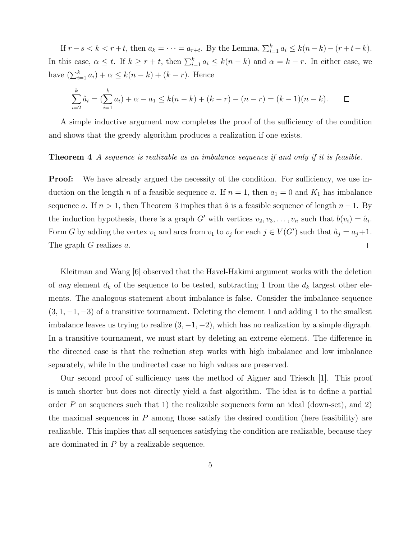If  $r - s < k < r + t$ , then  $a_k = \cdots = a_{r+t}$ . By the Lemma,  $\sum_{i=1}^{k} a_i \leq k(n-k) - (r+t-k)$ . In this case,  $\alpha \leq t$ . If  $k \geq r + t$ , then  $\sum_{i=1}^{k} a_i \leq k(n - k)$  and  $\alpha = k - r$ . In either case, we have  $(\sum_{i=1}^k a_i) + \alpha \leq k(n-k) + (k-r)$ . Hence

$$
\sum_{i=2}^{k} \hat{a}_i = \left(\sum_{i=1}^{k} a_i\right) + \alpha - a_1 \le k(n-k) + (k-r) - (n-r) = (k-1)(n-k). \qquad \Box
$$

A simple inductive argument now completes the proof of the sufficiency of the condition and shows that the greedy algorithm produces a realization if one exists.

#### Theorem 4 A sequence is realizable as an imbalance sequence if and only if it is feasible.

**Proof:** We have already argued the necessity of the condition. For sufficiency, we use induction on the length n of a feasible sequence a. If  $n = 1$ , then  $a_1 = 0$  and  $K_1$  has imbalance sequence a. If  $n > 1$ , then Theorem 3 implies that  $\hat{a}$  is a feasible sequence of length  $n - 1$ . By the induction hypothesis, there is a graph G' with vertices  $v_2, v_3, \ldots, v_n$  such that  $b(v_i) = \hat{a}_i$ . Form G by adding the vertex  $v_1$  and arcs from  $v_1$  to  $v_j$  for each  $j \in V(G')$  such that  $\hat{a}_j = a_j + 1$ . The graph G realizes a.  $\Box$ 

Kleitman and Wang [6] observed that the Havel-Hakimi argument works with the deletion of any element  $d_k$  of the sequence to be tested, subtracting 1 from the  $d_k$  largest other elements. The analogous statement about imbalance is false. Consider the imbalance sequence  $(3, 1, -1, -3)$  of a transitive tournament. Deleting the element 1 and adding 1 to the smallest imbalance leaves us trying to realize  $(3, -1, -2)$ , which has no realization by a simple digraph. In a transitive tournament, we must start by deleting an extreme element. The difference in the directed case is that the reduction step works with high imbalance and low imbalance separately, while in the undirected case no high values are preserved.

Our second proof of sufficiency uses the method of Aigner and Triesch [1]. This proof is much shorter but does not directly yield a fast algorithm. The idea is to define a partial order  $P$  on sequences such that 1) the realizable sequences form an ideal (down-set), and 2) the maximal sequences in  $P$  among those satisfy the desired condition (here feasibility) are realizable. This implies that all sequences satisfying the condition are realizable, because they are dominated in P by a realizable sequence.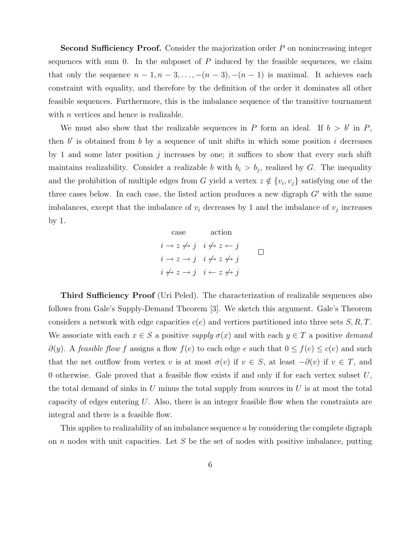Second Sufficiency Proof. Consider the majorization order P on nonincreasing integer sequences with sum 0. In the subposet of  $P$  induced by the feasible sequences, we claim that only the sequence  $n-1, n-3, \ldots, -(n-3), -(n-1)$  is maximal. It achieves each constraint with equality, and therefore by the definition of the order it dominates all other feasible sequences. Furthermore, this is the imbalance sequence of the transitive tournament with  $n$  vertices and hence is realizable.

We must also show that the realizable sequences in P form an ideal. If  $b > b'$  in P, then  $b'$  is obtained from  $b$  by a sequence of unit shifts in which some position  $i$  decreases by 1 and some later position  $j$  increases by one; it suffices to show that every such shift maintains realizability. Consider a realizable b with  $b_i > b_j$ , realized by G. The inequality and the prohibition of multiple edges from G yield a vertex  $z \notin \{v_i, v_j\}$  satisfying one of the three cases below. In each case, the listed action produces a new digraph  $G'$  with the same imbalances, except that the imbalance of  $v_i$  decreases by 1 and the imbalance of  $v_j$  increases by 1.

> case action  $i \rightarrow z \not\leftrightarrow j \quad i \not\leftrightarrow z \leftarrow j$  $\Box$  $i \rightarrow z \rightarrow i \quad i \not\leftrightarrow z \not\leftrightarrow i$  $i \not\leftrightarrow z \rightarrow j \quad i \leftarrow z \not\leftrightarrow j$

Third Sufficiency Proof (Uri Peled). The characterization of realizable sequences also follows from Gale's Supply-Demand Theorem [3]. We sketch this argument. Gale's Theorem considers a network with edge capacities  $c(e)$  and vertices partitioned into three sets  $S, R, T$ . We associate with each  $x \in S$  a positive supply  $\sigma(x)$  and with each  $y \in T$  a positive demand  $\partial(y)$ . A feasible flow f assigns a flow  $f(e)$  to each edge e such that  $0 \le f(e) \le c(e)$  and such that the net outflow from vertex v is at most  $\sigma(v)$  if  $v \in S$ , at least  $-\partial(v)$  if  $v \in T$ , and 0 otherwise. Gale proved that a feasible flow exists if and only if for each vertex subset  $U$ , the total demand of sinks in U minus the total supply from sources in U is at most the total capacity of edges entering  $U$ . Also, there is an integer feasible flow when the constraints are integral and there is a feasible flow.

This applies to realizability of an imbalance sequence a by considering the complete digraph on  $n$  nodes with unit capacities. Let  $S$  be the set of nodes with positive imbalance, putting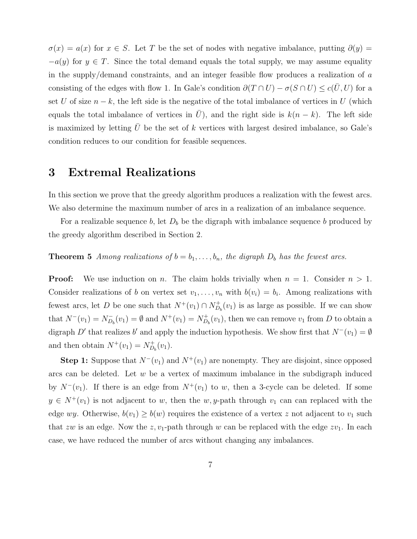$\sigma(x) = a(x)$  for  $x \in S$ . Let T be the set of nodes with negative imbalance, putting  $\partial(y) =$  $-a(y)$  for  $y \in T$ . Since the total demand equals the total supply, we may assume equality in the supply/demand constraints, and an integer feasible flow produces a realization of a consisting of the edges with flow 1. In Gale's condition  $\partial(T \cap U) - \sigma(S \cap U) \leq c(\overline{U}, U)$  for a set U of size  $n - k$ , the left side is the negative of the total imbalance of vertices in U (which equals the total imbalance of vertices in  $\overline{U}$ , and the right side is  $k(n - k)$ . The left side is maximized by letting  $U$  be the set of  $k$  vertices with largest desired imbalance, so Gale's condition reduces to our condition for feasible sequences.

### 3 Extremal Realizations

In this section we prove that the greedy algorithm produces a realization with the fewest arcs. We also determine the maximum number of arcs in a realization of an imbalance sequence.

For a realizable sequence b, let  $D_b$  be the digraph with imbalance sequence b produced by the greedy algorithm described in Section 2.

### **Theorem 5** Among realizations of  $b = b_1, \ldots, b_n$ , the digraph  $D_b$  has the fewest arcs.

**Proof:** We use induction on n. The claim holds trivially when  $n = 1$ . Consider  $n > 1$ . Consider realizations of b on vertex set  $v_1, \ldots, v_n$  with  $b(v_i) = b_i$ . Among realizations with fewest arcs, let D be one such that  $N^+(v_1) \cap N_{D_b}^+(v_1)$  is as large as possible. If we can show that  $N^{-}(v_1) = N_{D}^{-}$  $\overline{D}_b(v_1) = \emptyset$  and  $N^+(v_1) = N^+_{D_b}(v_1)$ , then we can remove  $v_1$  from D to obtain a digraph D' that realizes b' and apply the induction hypothesis. We show first that  $N^-(v_1) = \emptyset$ and then obtain  $N^+(v_1) = N_{D_b}^+(v_1)$ .

**Step 1:** Suppose that  $N^-(v_1)$  and  $N^+(v_1)$  are nonempty. They are disjoint, since opposed arcs can be deleted. Let  $w$  be a vertex of maximum imbalance in the subdigraph induced by  $N^-(v_1)$ . If there is an edge from  $N^+(v_1)$  to w, then a 3-cycle can be deleted. If some  $y \in N^+(v_1)$  is not adjacent to w, then the w, y-path through  $v_1$  can can replaced with the edge wy. Otherwise,  $b(v_1) \ge b(w)$  requires the existence of a vertex z not adjacent to  $v_1$  such that zw is an edge. Now the z,  $v_1$ -path through w can be replaced with the edge  $zv_1$ . In each case, we have reduced the number of arcs without changing any imbalances.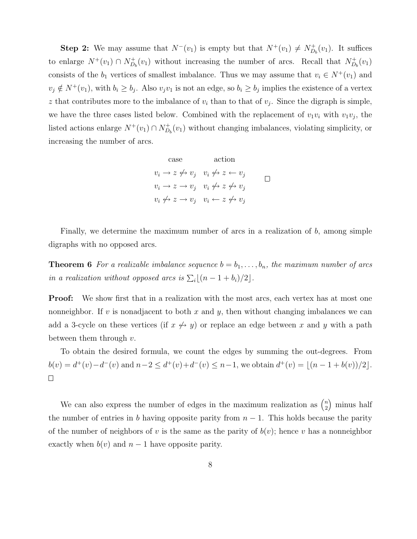**Step 2:** We may assume that  $N^-(v_1)$  is empty but that  $N^+(v_1) \neq N_{D_b}^+(v_1)$ . It suffices to enlarge  $N^+(v_1) \cap N^+_{D_b}(v_1)$  without increasing the number of arcs. Recall that  $N^+_{D_b}(v_1)$ consists of the  $b_1$  vertices of smallest imbalance. Thus we may assume that  $v_i \in N^+(v_1)$  and  $v_j \notin N^+(v_1)$ , with  $b_i \geq b_j$ . Also  $v_jv_1$  is not an edge, so  $b_i \geq b_j$  implies the existence of a vertex z that contributes more to the imbalance of  $v_i$  than to that of  $v_j$ . Since the digraph is simple, we have the three cases listed below. Combined with the replacement of  $v_1v_i$  with  $v_1v_j$ , the listed actions enlarge  $N^+(v_1) \cap N^+_{D_b}(v_1)$  without changing imbalances, violating simplicity, or increasing the number of arcs.

case action  
\n
$$
v_i \to z \nleftrightarrow v_j \quad v_i \nleftrightarrow z \leftarrow v_j
$$
\n
$$
v_i \to z \to v_j \quad v_i \nleftrightarrow z \nleftrightarrow v_j
$$
\n
$$
v_i \nleftrightarrow z \to v_j \quad v_i \leftarrow z \nleftrightarrow v_j
$$

Finally, we determine the maximum number of arcs in a realization of b, among simple digraphs with no opposed arcs.

**Theorem 6** For a realizable imbalance sequence  $b = b_1, \ldots, b_n$ , the maximum number of arcs in a realization without opposed arcs is  $\sum_i \lfloor (n-1 + b_i)/2 \rfloor$ .

**Proof:** We show first that in a realization with the most arcs, each vertex has at most one nonneighbor. If v is nonadjacent to both x and y, then without changing imbalances we can add a 3-cycle on these vertices (if  $x \leftrightarrow y$ ) or replace an edge between x and y with a path between them through  $v$ .

To obtain the desired formula, we count the edges by summing the out-degrees. From  $b(v) = d^+(v) - d^-(v)$  and  $n-2 \leq d^+(v) + d^-(v) \leq n-1$ , we obtain  $d^+(v) = \lfloor (n-1 + b(v))/2 \rfloor$ .  $\Box$ 

We can also express the number of edges in the maximum realization as  $\binom{n}{2}$  $\binom{n}{2}$  minus half the number of entries in b having opposite parity from  $n-1$ . This holds because the parity of the number of neighbors of v is the same as the parity of  $b(v)$ ; hence v has a nonneighbor exactly when  $b(v)$  and  $n-1$  have opposite parity.